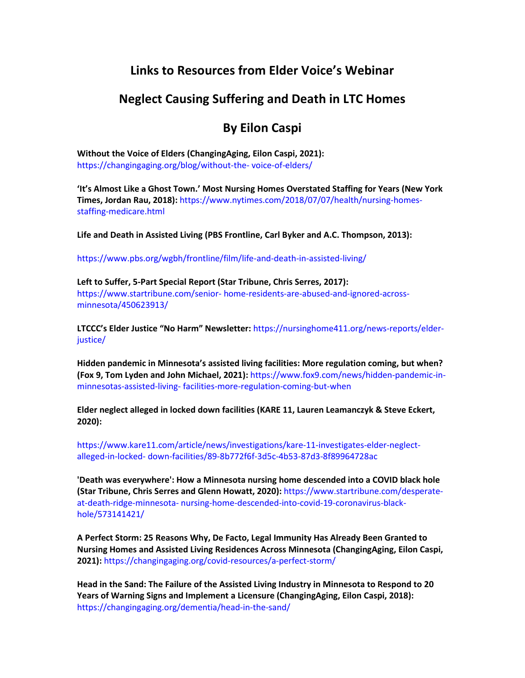## **Links to Resources from Elder Voice's Webinar**

## **Neglect Causing Suffering and Death in LTC Homes**

## **By Eilon Caspi**

**Without the Voice of Elders (ChangingAging, Eilon Caspi, 2021):**  https://changingaging.org/blog/without-the- voice-of-elders/

**'It's Almost Like a Ghost Town.' Most Nursing Homes Overstated Staffing for Years (New York Times, Jordan Rau, 2018):** https://www.nytimes.com/2018/07/07/health/nursing-homesstaffing-medicare.html

**Life and Death in Assisted Living (PBS Frontline, Carl Byker and A.C. Thompson, 2013):** 

https://www.pbs.org/wgbh/frontline/film/life-and-death-in-assisted-living/

**Left to Suffer, 5-Part Special Report (Star Tribune, Chris Serres, 2017):**  https://www.startribune.com/senior- home-residents-are-abused-and-ignored-acrossminnesota/450623913/

**LTCCC's Elder Justice "No Harm" Newsletter:** https://nursinghome411.org/news-reports/elderjustice/

**Hidden pandemic in Minnesota's assisted living facilities: More regulation coming, but when? (Fox 9, Tom Lyden and John Michael, 2021):** https://www.fox9.com/news/hidden-pandemic-inminnesotas-assisted-living- facilities-more-regulation-coming-but-when

**Elder neglect alleged in locked down facilities (KARE 11, Lauren Leamanczyk & Steve Eckert, 2020):** 

https://www.kare11.com/article/news/investigations/kare-11-investigates-elder-neglectalleged-in-locked- down-facilities/89-8b772f6f-3d5c-4b53-87d3-8f89964728ac

**'Death was everywhere': How a Minnesota nursing home descended into a COVID black hole (Star Tribune, Chris Serres and Glenn Howatt, 2020):** https://www.startribune.com/desperateat-death-ridge-minnesota- nursing-home-descended-into-covid-19-coronavirus-blackhole/573141421/

**A Perfect Storm: 25 Reasons Why, De Facto, Legal Immunity Has Already Been Granted to Nursing Homes and Assisted Living Residences Across Minnesota (ChangingAging, Eilon Caspi, 2021):** https://changingaging.org/covid-resources/a-perfect-storm/

**Head in the Sand: The Failure of the Assisted Living Industry in Minnesota to Respond to 20 Years of Warning Signs and Implement a Licensure (ChangingAging, Eilon Caspi, 2018):**  https://changingaging.org/dementia/head-in-the-sand/